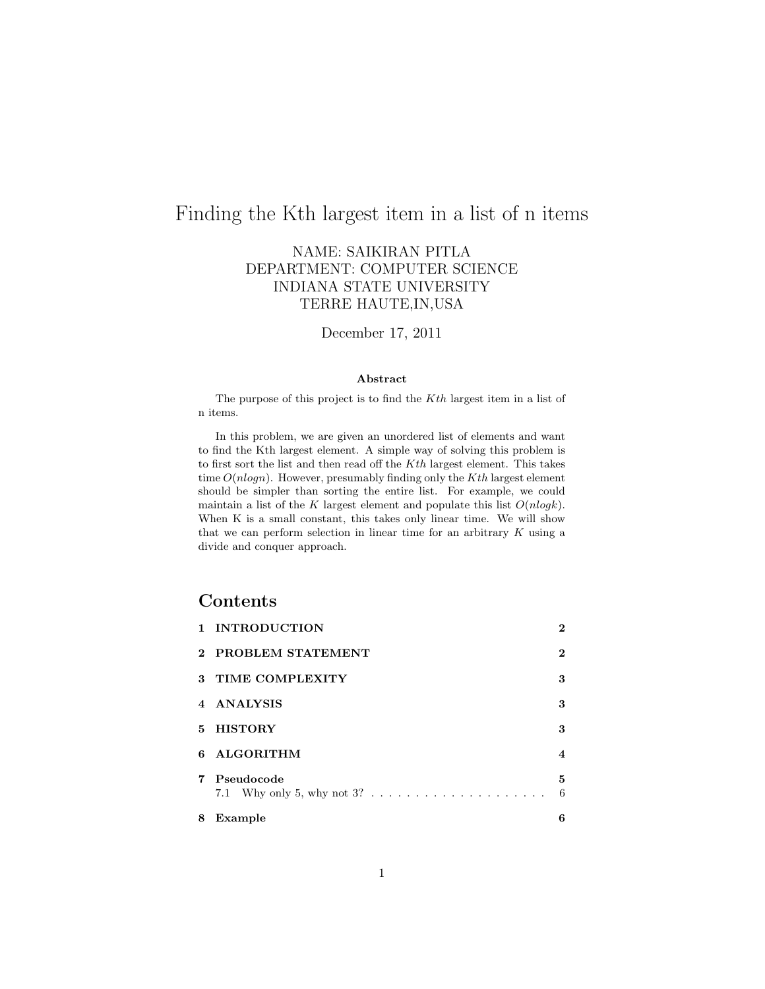## Finding the Kth largest item in a list of n items

#### NAME: SAIKIRAN PITLA DEPARTMENT: COMPUTER SCIENCE INDIANA STATE UNIVERSITY TERRE HAUTE,IN,USA

#### December 17, 2011

#### Abstract

The purpose of this project is to find the Kth largest item in a list of n items.

In this problem, we are given an unordered list of elements and want to find the Kth largest element. A simple way of solving this problem is to first sort the list and then read off the Kth largest element. This takes time  $O(nlog n)$ . However, presumably finding only the Kth largest element should be simpler than sorting the entire list. For example, we could maintain a list of the K largest element and populate this list  $O(nlogk)$ . When K is a small constant, this takes only linear time. We will show that we can perform selection in linear time for an arbitrary  $K$  using a divide and conquer approach.

#### Contents

| 8  | Example                | 6        |
|----|------------------------|----------|
|    | 7 Pseudocode           | 5<br>6   |
| В. | <b>ALGORITHM</b>       | 4        |
| 5. | <b>HISTORY</b>         | 3        |
|    | 4 ANALYSIS             | 3        |
| 3  | <b>TIME COMPLEXITY</b> | 3        |
|    | 2 PROBLEM STATEMENT    | 2        |
|    | 1 INTRODUCTION         | $\bf{2}$ |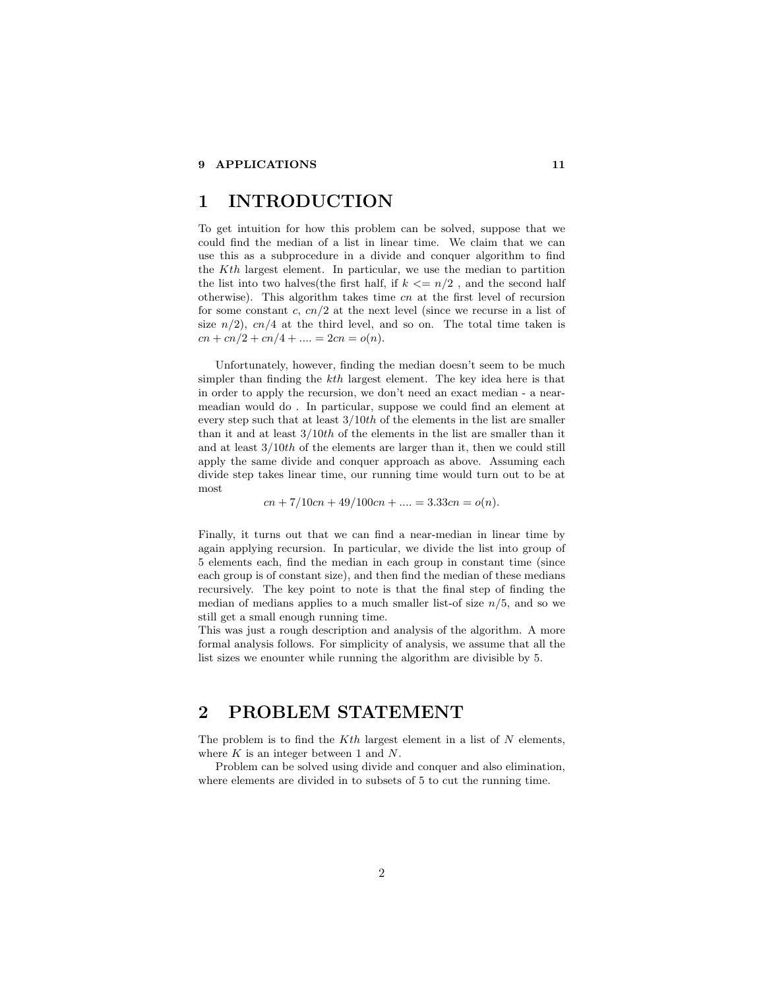### 1 INTRODUCTION

To get intuition for how this problem can be solved, suppose that we could find the median of a list in linear time. We claim that we can use this as a subprocedure in a divide and conquer algorithm to find the Kth largest element. In particular, we use the median to partition the list into two halves(the first half, if  $k \leq n/2$ , and the second half otherwise). This algorithm takes time cn at the first level of recursion for some constant c,  $cn/2$  at the next level (since we recurse in a list of size  $n/2$ ,  $cn/4$  at the third level, and so on. The total time taken is  $cn + cn/2 + cn/4 + \ldots = 2cn = o(n).$ 

Unfortunately, however, finding the median doesn't seem to be much simpler than finding the kth largest element. The key idea here is that in order to apply the recursion, we don't need an exact median - a nearmeadian would do . In particular, suppose we could find an element at every step such that at least  $3/10th$  of the elements in the list are smaller than it and at least  $3/10th$  of the elements in the list are smaller than it and at least 3/10th of the elements are larger than it, then we could still apply the same divide and conquer approach as above. Assuming each divide step takes linear time, our running time would turn out to be at most

 $cn + 7/10cn + 49/100cn + \ldots = 3.33cn = o(n).$ 

Finally, it turns out that we can find a near-median in linear time by again applying recursion. In particular, we divide the list into group of 5 elements each, find the median in each group in constant time (since each group is of constant size), and then find the median of these medians recursively. The key point to note is that the final step of finding the median of medians applies to a much smaller list-of size  $n/5$ , and so we still get a small enough running time.

This was just a rough description and analysis of the algorithm. A more formal analysis follows. For simplicity of analysis, we assume that all the list sizes we enounter while running the algorithm are divisible by 5.

### 2 PROBLEM STATEMENT

The problem is to find the  $Kth$  largest element in a list of  $N$  elements, where  $K$  is an integer between 1 and  $N$ .

Problem can be solved using divide and conquer and also elimination, where elements are divided in to subsets of 5 to cut the running time.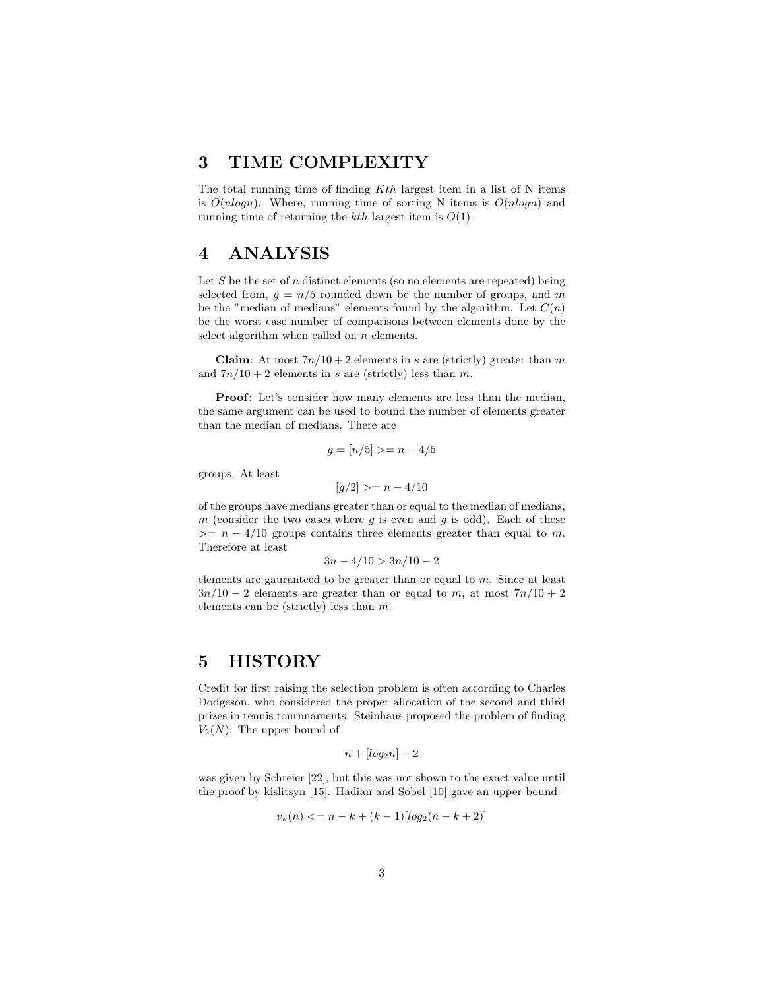#### 3 TIME COMPLEXITY

The total running time of finding  $Kth$  largest item in a list of N items is  $O(nlogn)$ . Where, running time of sorting N items is  $O(nlogn)$  and running time of returning the  $kth$  largest item is  $O(1)$ .

### 4 ANALYSIS

Let  $S$  be the set of  $n$  distinct elements (so no elements are repeated) being selected from,  $g = n/5$  rounded down be the number of groups, and m be the "median of medians" elements found by the algorithm. Let  $C(n)$ be the worst case number of comparisons between elements done by the select algorithm when called on  $n$  elements.

Claim: At most  $7n/10+2$  elements in s are (strictly) greater than m and  $7n/10 + 2$  elements in s are (strictly) less than m.

Proof: Let's consider how many elements are less than the median, the same argument can be used to bound the number of elements greater than the median of medians. There are

$$
g = [n/5] \geq n - 4/5
$$

groups. At least

 $[q/2] > = n - 4/10$ 

of the groups have medians greater than or equal to the median of medians, m (consider the two cases where  $g$  is even and  $g$  is odd). Each of these  $>= n - 4/10$  groups contains three elements greater than equal to m. Therefore at least

$$
3n - 4/10 > 3n/10 - 2
$$

elements are gauranteed to be greater than or equal to  $m$ . Since at least  $3n/10 - 2$  elements are greater than or equal to m, at most  $7n/10 + 2$ elements can be (strictly) less than m.

#### 5 HISTORY

Credit for first raising the selection problem is often according to Charles Dodgeson, who considered the proper allocation of the second and third prizes in tennis tournnaments. Steinhaus proposed the problem of finding  $V_2(N)$ . The upper bound of

$$
n + [log_2 n] - 2
$$

was given by Schreier [22], but this was not shown to the exact value until the proof by kislitsyn [15]. Hadian and Sobel [10] gave an upper bound:

$$
v_k(n) \le n - k + (k - 1)[log_2(n - k + 2)]
$$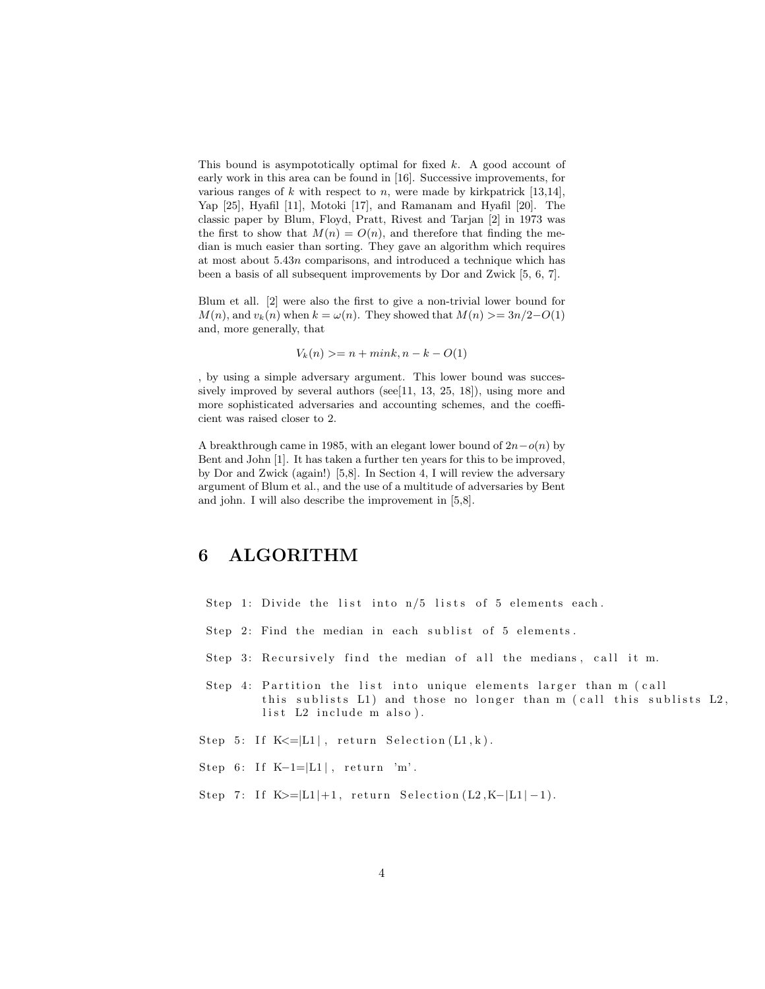This bound is asympototically optimal for fixed  $k$ . A good account of early work in this area can be found in [16]. Successive improvements, for various ranges of  $k$  with respect to  $n$ , were made by kirkpatrick [13,14], Yap [25], Hyafil [11], Motoki [17], and Ramanam and Hyafil [20]. The classic paper by Blum, Floyd, Pratt, Rivest and Tarjan [2] in 1973 was the first to show that  $M(n) = O(n)$ , and therefore that finding the median is much easier than sorting. They gave an algorithm which requires at most about 5.43n comparisons, and introduced a technique which has been a basis of all subsequent improvements by Dor and Zwick [5, 6, 7].

Blum et all. [2] were also the first to give a non-trivial lower bound for  $M(n)$ , and  $v_k(n)$  when  $k = \omega(n)$ . They showed that  $M(n) \geq 3n/2-O(1)$ and, more generally, that

$$
V_k(n) \ge n + mink, n - k - O(1)
$$

, by using a simple adversary argument. This lower bound was successively improved by several authors (see[11, 13, 25, 18]), using more and more sophisticated adversaries and accounting schemes, and the coefficient was raised closer to 2.

A breakthrough came in 1985, with an elegant lower bound of  $2n-o(n)$  by Bent and John [1]. It has taken a further ten years for this to be improved, by Dor and Zwick (again!) [5,8]. In Section 4, I will review the adversary argument of Blum et al., and the use of a multitude of adversaries by Bent and john. I will also describe the improvement in [5,8].

#### 6 ALGORITHM

- Step 1: Divide the list into  $n/5$  lists of 5 elements each.
- Step 2: Find the median in each sublist of 5 elements.
- Step 3: Recursively find the median of all the medians, call it m.
- Step 4: Partition the list into unique elements larger than m (call this sublists  $L1$ ) and those no longer than m (call this sublists  $L2$ , list L2 include m also).
- Step 5: If  $K \le |L1|$ , return Selection  $(L1, k)$ .
- Step 6: If K-1= $|L1|$ , return 'm'.
- Step 7: If  $K>=|L1|+1$ , return Selection (L2,K-|L1|-1).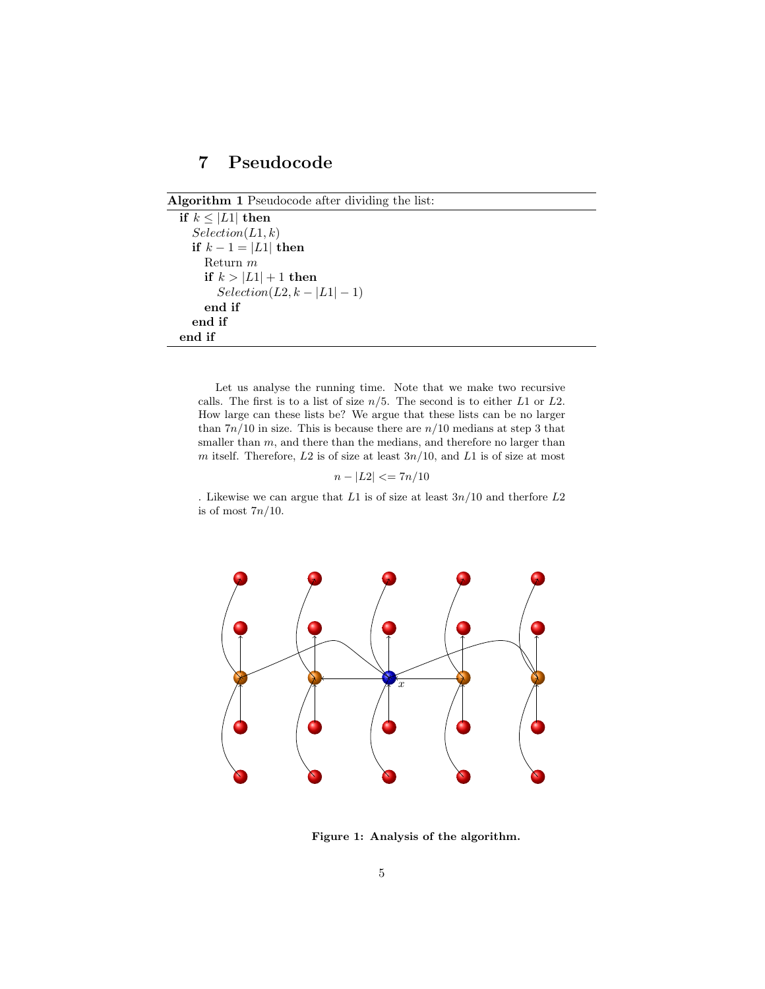### 7 Pseudocode

```
Algorithm 1 Pseudocode after dividing the list:
```

```
if k \leq |L1| then
  Selection(L1, k)if k - 1 = |L1| then
    Return m
    if k > |L1| + 1 then
      Selection(L2, k - |L1| - 1)end if
  end if
end if
```
Let us analyse the running time. Note that we make two recursive calls. The first is to a list of size  $n/5$ . The second is to either L1 or L2. How large can these lists be? We argue that these lists can be no larger than  $7n/10$  in size. This is because there are  $n/10$  medians at step 3 that smaller than  $m$ , and there than the medians, and therefore no larger than m itself. Therefore,  $L2$  is of size at least  $3n/10$ , and  $L1$  is of size at most

$$
n - |L2| \leq 7n/10
$$

. Likewise we can argue that  $L1$  is of size at least  $3n/10$  and therfore  $L2$ is of most  $7n/10$ .



Figure 1: Analysis of the algorithm.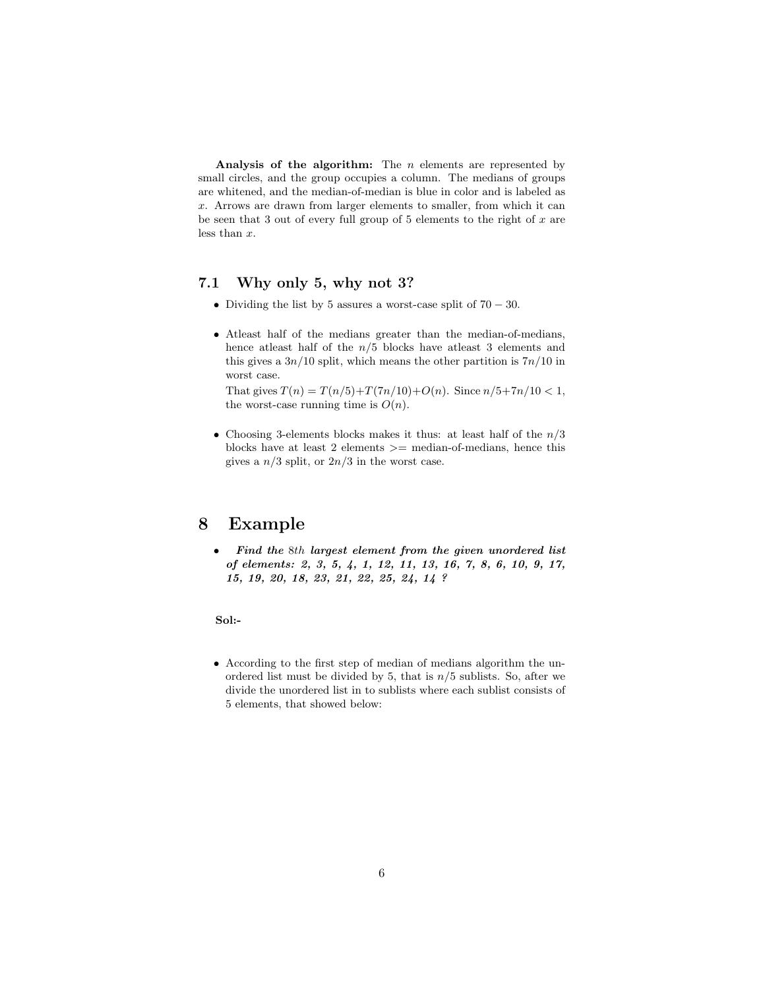Analysis of the algorithm: The  $n$  elements are represented by small circles, and the group occupies a column. The medians of groups are whitened, and the median-of-median is blue in color and is labeled as x. Arrows are drawn from larger elements to smaller, from which it can be seen that 3 out of every full group of 5 elements to the right of  $x$  are less than x.

#### 7.1 Why only 5, why not 3?

- Dividing the list by 5 assures a worst-case split of  $70 30$ .
- Atleast half of the medians greater than the median-of-medians, hence at<br>least half of the  $n/5$  blocks have at<br>least 3 elements and this gives a  $3n/10$  split, which means the other partition is  $7n/10$  in worst case.

That gives  $T(n) = T(n/5) + T(7n/10) + O(n)$ . Since  $n/5 + 7n/10 < 1$ , the worst-case running time is  $O(n)$ .

• Choosing 3-elements blocks makes it thus: at least half of the  $n/3$ blocks have at least  $2$  elements  $\geq$  median-of-medians, hence this gives a  $n/3$  split, or  $2n/3$  in the worst case.

### 8 Example

• Find the 8th largest element from the given unordered list of elements: 2, 3, 5, 4, 1, 12, 11, 13, 16, 7, 8, 6, 10, 9, 17, 15, 19, 20, 18, 23, 21, 22, 25, 24, 14 ?

Sol:-

• According to the first step of median of medians algorithm the unordered list must be divided by 5, that is  $n/5$  sublists. So, after we divide the unordered list in to sublists where each sublist consists of 5 elements, that showed below: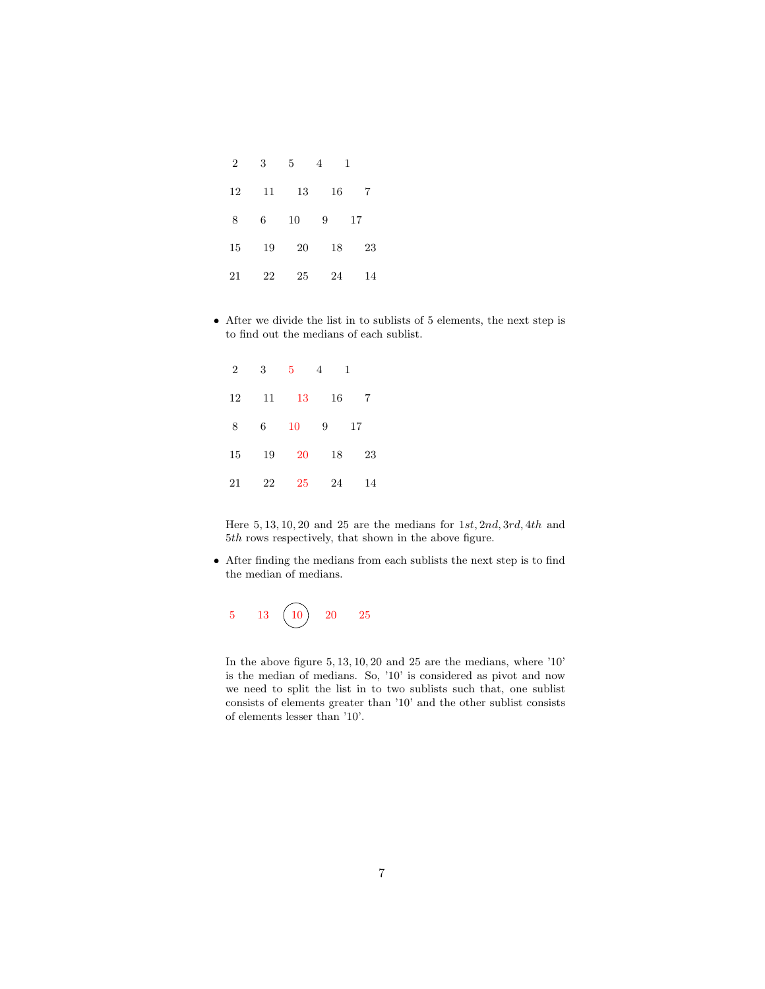| $\overline{2}$ | 3  | $5^{\circ}$     | 4  | $\mathbf{1}$ |
|----------------|----|-----------------|----|--------------|
| 12             | 11 | 13              | 16 | 7            |
| 8              | 6  | 10 <sup>°</sup> | 9  | 17           |
| 15             | 19 | 20              | 18 | 23           |
| 21             | 22 | 25              | 24 | 14           |

• After we divide the list in to sublists of 5 elements, the next step is to find out the medians of each sublist.

| $\overline{2}$ | 3  | $5^{\circ}$ | 4  | 1  |
|----------------|----|-------------|----|----|
| 12             | 11 | 13          | 16 | 7  |
| -8             | 6  | 10          | 9  | 17 |
| 15             | 19 | 20          | 18 | 23 |
| 21             | 22 | 25          | 24 | 14 |

Here  $5, 13, 10, 20$  and  $25$  are the medians for  $1st$ ,  $2nd$ ,  $3rd$ ,  $4th$  and  $5th$  rows respectively, that shown in the above figure.

• After finding the medians from each sublists the next step is to find the median of medians.



In the above figure 5, 13, 10, 20 and 25 are the medians, where '10' is the median of medians. So, '10' is considered as pivot and now we need to split the list in to two sublists such that, one sublist consists of elements greater than '10' and the other sublist consists of elements lesser than '10'.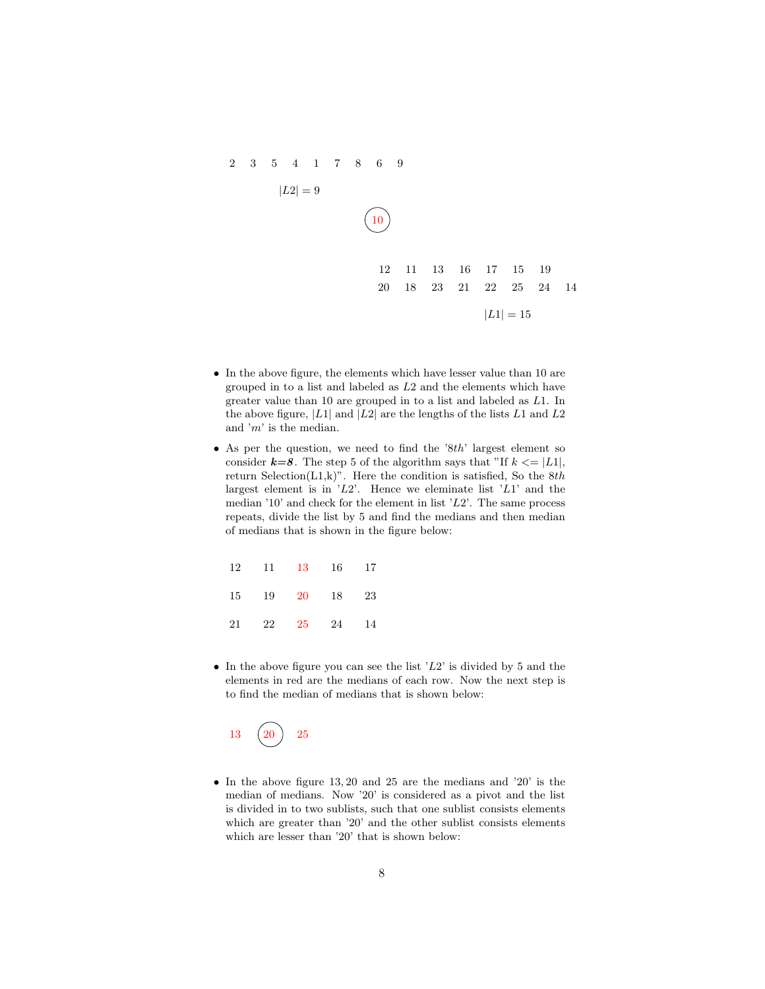

- In the above figure, the elements which have lesser value than 10 are grouped in to a list and labeled as L2 and the elements which have greater value than 10 are grouped in to a list and labeled as L1. In the above figure,  $|L_1|$  and  $|L_2|$  are the lengths of the lists  $L_1$  and  $L_2$ and 'm' is the median.
- As per the question, we need to find the '8th' largest element so consider  $k=8$ . The step 5 of the algorithm says that "If  $k \leq |L1|$ , return Selection(L1,k)". Here the condition is satisfied, So the  $8th$ largest element is in  $L^2$ . Hence we eleminate list  $L^2$  and the median '10' and check for the element in list ' $L2$ '. The same process repeats, divide the list by 5 and find the medians and then median of medians that is shown in the figure below:

|  | 12 11 13 16 17 |  |
|--|----------------|--|
|  | 15 19 20 18 23 |  |
|  | 21 22 25 24 14 |  |

• In the above figure you can see the list  $'L2$  is divided by 5 and the elements in red are the medians of each row. Now the next step is to find the median of medians that is shown below:

 $13 \quad (20) \quad 25$ 

• In the above figure 13, 20 and 25 are the medians and '20' is the median of medians. Now '20' is considered as a pivot and the list is divided in to two sublists, such that one sublist consists elements which are greater than '20' and the other sublist consists elements which are lesser than '20' that is shown below: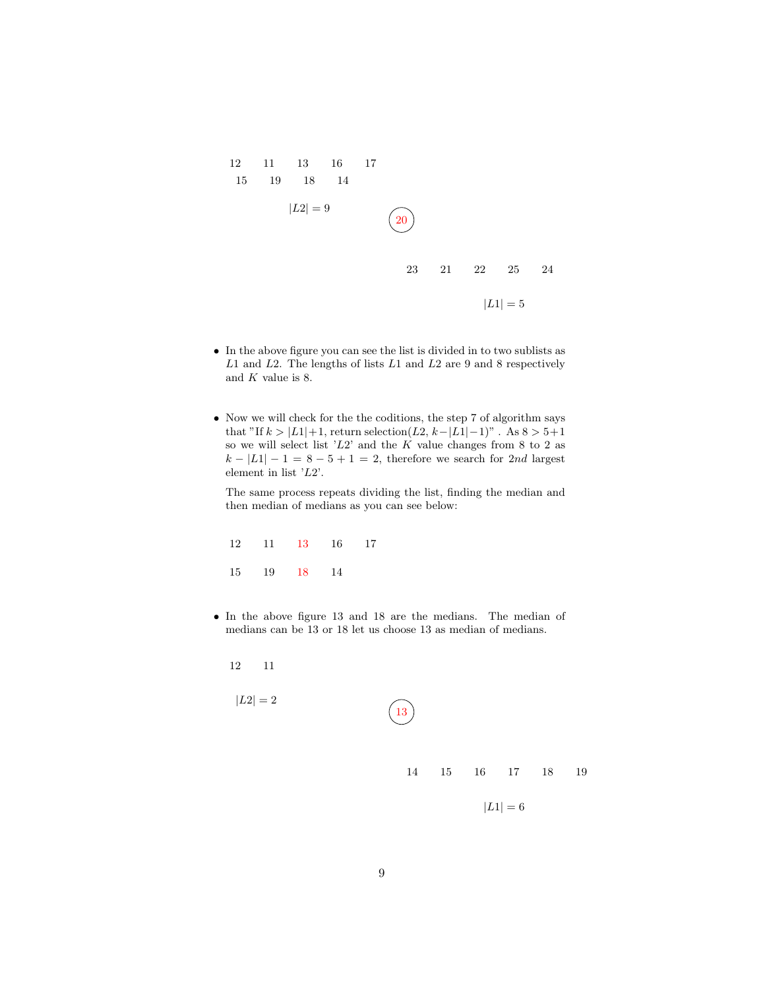

- $\bullet~$  In the above figure you can see the list is divided in to two sublists as  $L1$  and  $L2$ . The lengths of lists  $L1$  and  $L2$  are 9 and 8 respectively and  $K$  value is 8.
- Now we will check for the the coditions, the step 7 of algorithm says that "If  $k > |L_1|+1$ , return selection( $L_2$ ,  $k-|L_1|-1$ )". As  $8 > 5+1$ so we will select list  $'L2$  and the K value changes from 8 to 2 as  $k - |L1| - 1 = 8 - 5 + 1 = 2$ , therefore we search for 2nd largest element in list 'L2'.

The same process repeats dividing the list, finding the median and then median of medians as you can see below:

|  |             | 12 11 13 16 17 |  |
|--|-------------|----------------|--|
|  | 15 19 18 14 |                |  |

• In the above figure 13 and 18 are the medians. The median of medians can be 13 or 18 let us choose 13 as median of medians.

12 11

$$
|L2| = 2
$$
\n  
\n(13)\n  
\n14 15 16 17 18 19\n  
\n
$$
|L1| = 6
$$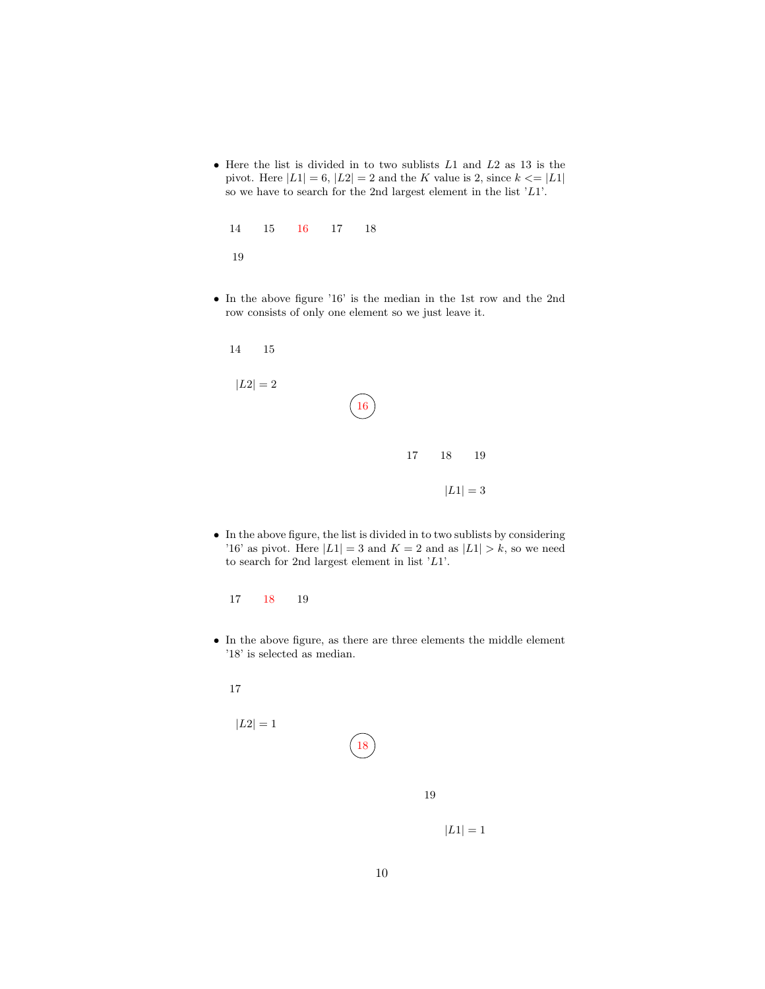• Here the list is divided in to two sublists  $L1$  and  $L2$  as 13 is the pivot. Here  $|L1| = 6$ ,  $|L2| = 2$  and the K value is 2, since  $k \leq |L1|$ so we have to search for the 2nd largest element in the list  $'L1$ .

|     |  | 14 15 16 17 18 |  |
|-----|--|----------------|--|
| -19 |  |                |  |

• In the above figure '16' is the median in the 1st row and the 2nd row consists of only one element so we just leave it.

| 4<br>15            |            |    |    |                    |  |
|--------------------|------------|----|----|--------------------|--|
| $\vert L2\vert =2$ | $\ket{16}$ |    |    |                    |  |
|                    |            | 17 | 18 | 19                 |  |
|                    |            |    |    | $\vert L1\vert =3$ |  |

- $\bullet~$  In the above figure, the list is divided in to two sublists by considering '16' as pivot. Here  $|L1| = 3$  and  $K = 2$  and as  $|L1| > k$ , so we need to search for 2nd largest element in list 'L1'.
	- 17 18 19
- In the above figure, as there are three elements the middle element '18' is selected as median.

17

 $\overline{1}$ 

$$
|L2| = 1
$$

19

 $|L1| = 1$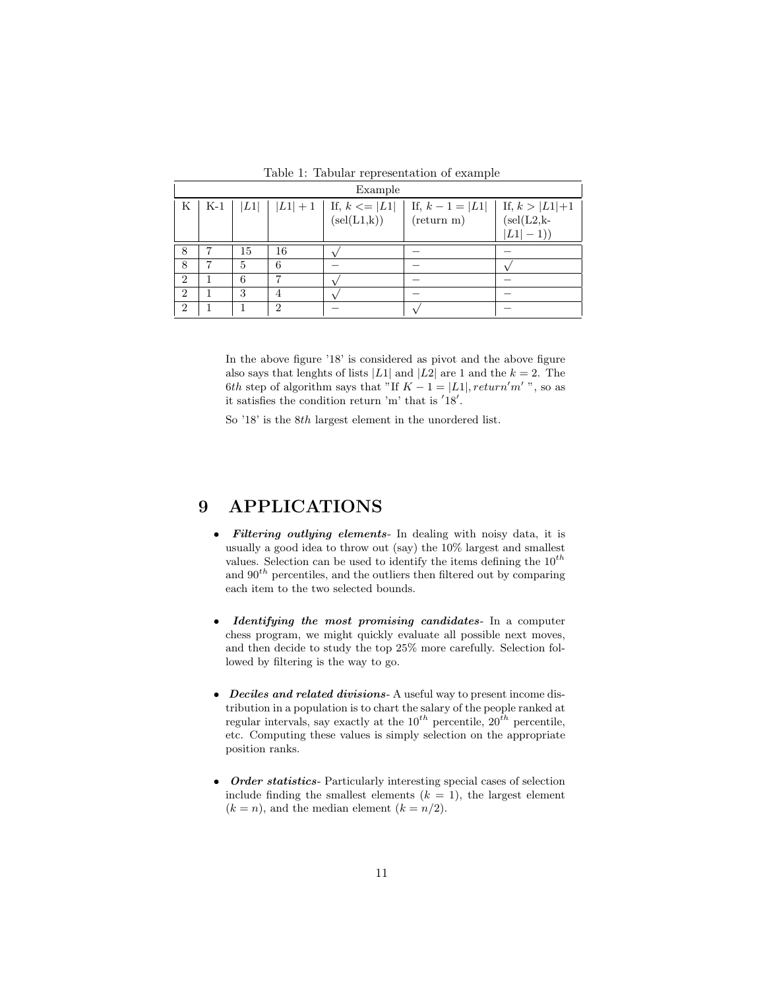|                             | Example |    |    |                                                       |                                            |                                                  |  |
|-----------------------------|---------|----|----|-------------------------------------------------------|--------------------------------------------|--------------------------------------------------|--|
| K                           | $K-1$   | L1 |    | $ L1  + 1$   If, $k \le  L1 $<br>$(\text{sel}(L1,k))$ | If, $k - 1 =  L1 $<br>$(\text{return } m)$ | If, $k >  L1 +1$<br>$(self(L2,k-$<br>$ L1  - 1)$ |  |
| 8                           |         | 15 | 16 |                                                       |                                            |                                                  |  |
| 8                           |         | 5  | 6  |                                                       |                                            |                                                  |  |
| $\overline{2}$              |         | 6  |    |                                                       |                                            |                                                  |  |
| $\overline{2}$              |         | 3  |    |                                                       |                                            |                                                  |  |
| $\mathcal{D}_{\mathcal{L}}$ |         |    | 2  |                                                       |                                            |                                                  |  |

Table 1: Tabular representation of example

In the above figure '18' is considered as pivot and the above figure also says that lenghts of lists |L1| and |L2| are 1 and the  $k = 2$ . The 6th step of algorithm says that "If  $K - 1 = |L1|$ , return'm', so as it satisfies the condition return 'm' that is  $18'$ .

So '18' is the 8th largest element in the unordered list.

## 9 APPLICATIONS

- Filtering outlying elements- In dealing with noisy data, it is usually a good idea to throw out (say) the 10% largest and smallest values. Selection can be used to identify the items defining the  $10^{th}$ and  $90<sup>th</sup>$  percentiles, and the outliers then filtered out by comparing each item to the two selected bounds.
- Identifying the most promising candidates- In a computer chess program, we might quickly evaluate all possible next moves, and then decide to study the top 25% more carefully. Selection followed by filtering is the way to go.
- Deciles and related divisions- A useful way to present income distribution in a population is to chart the salary of the people ranked at regular intervals, say exactly at the  $10^{th}$  percentile,  $20^{th}$  percentile, etc. Computing these values is simply selection on the appropriate position ranks.
- Order statistics- Particularly interesting special cases of selection include finding the smallest elements  $(k = 1)$ , the largest element  $(k = n)$ , and the median element  $(k = n/2)$ .